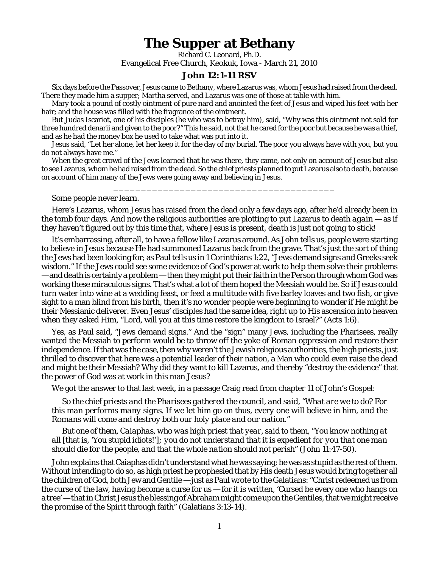## **The Supper at Bethany**

Richard C. Leonard, Ph.D. Evangelical Free Church, Keokuk, Iowa - March 21, 2010

## **John 12:1-11 RSV**

Six days before the Passover, Jesus came to Bethany, where Lazarus was, whom Jesus had raised from the dead. There they made him a supper; Martha served, and Lazarus was one of those at table with him.

Mary took a pound of costly ointment of pure nard and anointed the feet of Jesus and wiped his feet with her hair; and the house was filled with the fragrance of the ointment.

But Judas Iscariot, one of his disciples (he who was to betray him), said, "Why was this ointment not sold for three hundred denarii and given to the poor?" This he said, not that he cared for the poor but because he was a thief, and as he had the money box he used to take what was put into it.

Jesus said, "Let her alone, let her keep it for the day of my burial. The poor you always have with you, but you do not always have me."

When the great crowd of the Jews learned that he was there, they came, not only on account of Jesus but also to see Lazarus, whom he had raised from the dead. So the chief priests planned to put Lazarus also to death, because on account of him many of the Jews were going away and believing in Jesus.

\_\_\_\_\_\_\_\_\_\_\_\_\_\_\_\_\_\_\_\_\_\_\_\_\_\_\_\_\_\_\_\_\_\_\_\_\_\_\_\_

Some people never learn.

Here's Lazarus, whom Jesus has raised from the dead only a few days ago, after he'd already been in the tomb four days. And now the religious authorities are plotting to put Lazarus to death *again* — as if they haven't figured out by this time that, where Jesus is present, *death is just not going to stick!*

It's embarrassing, after all, to have a fellow like Lazarus around. As John tells us, people were starting to believe in Jesus because He had summoned Lazarus back from the grave. That's just the sort of thing the Jews had been looking for; as Paul tells us in 1 Corinthians 1:22, "Jews demand signs and Greeks seek wisdom." If the Jews could see some evidence of God's power at work to help them solve their problems — and death is certainly a problem — then they might put their faith in the Person through whom God was working these miraculous signs. That's what a lot of them hoped the Messiah would be. So if Jesus could turn water into wine at a wedding feast, or feed a multitude with five barley loaves and two fish, or give sight to a man blind from his birth, then it's no wonder people were beginning to wonder if He might be their Messianic deliverer. Even Jesus' disciples had the same idea, right up to His ascension into heaven when they asked Him, "Lord, will you at this time restore the kingdom to Israel?" (Acts 1:6).

Yes, as Paul said, "Jews demand signs." And the "sign" many Jews, including the Pharisees, really wanted the Messiah to perform would be to throw off the yoke of Roman oppression and restore their independence. If that was the case, then why weren't the Jewish religious authorities, the high priests, just *thrilled* to discover that here was a potential leader of their nation, a Man who could even raise the dead and might be their Messiah? Why did they want to kill Lazarus, and thereby "destroy the evidence" that the power of God was at work in this man Jesus?

We got the answer to that last week, in a passage Craig read from chapter 11 of John's Gospel:

*So the chief priests and the Pharisees gathered the council, and said, "What are we to do? For this man performs many signs. If we let him go on thus, every one will believe in him, and the Romans will come and destroy both our holy place and our nation."*

*But one of them, Caiaphas, who was high priest that year, said to them, "You know nothing at all* [that is, 'You stupid idiots!']*; you do not understand that it is expedient for you that one man should die for the people, and that the whole nation should not perish"* (John 11:47-50).

John explains that Caiaphas didn't understand what he was saying; he was as stupid as the rest of them. Without intending to do so, as high priest he prophesied that by His death Jesus would bring together all the children of God, both Jew and Gentile — just as Paul wrote to the Galatians: "Christ redeemed us from the curse of the law, having become a curse for us — for it is written, 'Cursed be every one who hangs on a tree' — that in Christ Jesus the blessing of Abraham *might come upon the Gentiles*, that we might receive the promise of the Spirit through faith" (Galatians 3:13-14).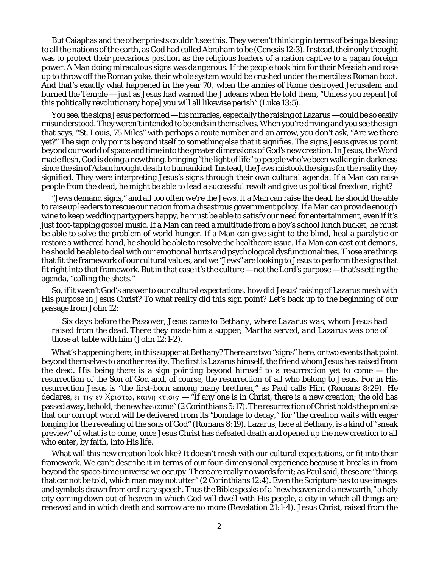But Caiaphas and the other priests couldn't see this. They weren't thinking in terms of being a blessing to all the nations of the earth, as God had called Abraham to be (Genesis 12:3). Instead, their only thought was to protect their precarious position as the religious leaders of a nation captive to a pagan foreign power. A Man doing miraculous signs was *dangerous*. If the people took him for their Messiah and rose up to throw off the Roman yoke, their whole system would be crushed under the merciless Roman boot. And that's exactly what happened in the year 70, when the armies of Rome destroyed Jerusalem and burned the Temple — just as Jesus had warned the Judeans when He told them, "Unless you repent [of this politically revolutionary hope] you will all likewise perish" (Luke 13:5).

You see, the signs Jesus performed — his miracles, especially the raising of Lazarus — could be so easily misunderstood. They weren't intended to be ends in themselves. When you're driving and you see the sign that says, "St. Louis, 75 Miles" with perhaps a route number and an arrow, you don't ask, "Are we there yet?" The sign only *points beyond itself* to something else that it signifies. The signs Jesus gives us point beyond our world of space and time into the greater dimensions of God's new creation. In Jesus, the Word made flesh, God is doing a new thing, bringing "the light of life" to people who've been walking in darkness since the sin of Adam brought death to humankind. Instead, the Jews mistook the signs for the reality they signified. They were interpreting Jesus's signs through their own *cultural agenda*. If a Man can raise people from the dead, he might be able to lead a successful revolt and give us political freedom, right?

"Jews demand signs," and all too often *we're the Jews.* If a Man can raise the dead, he should the able to raise up leaders to rescue our nation from a disastrous government policy. If a Man can provide enough wine to keep wedding partygoers happy, he must be able to satisfy our need for entertainment, even if it's just foot-tapping gospel music. If a Man can feed a multitude from a boy's school lunch bucket, he must be able to solve the problem of world hunger. If a Man can give sight to the blind, heal a paralytic or restore a withered hand, he should be able to resolve the healthcare issue. If a Man can cast out demons, he should be able to deal with our emotional hurts and psychological dysfunctionalities. Those are things that fit the framework of our cultural values, and we "Jews" are looking to Jesus to perform the signs that fit right into that framework. But in that case it's the culture — not the Lord's purpose — that's setting the agenda, "calling the shots."

So, if it wasn't God's answer to *our* cultural expectations, how did Jesus' raising of Lazarus mesh with His purpose in Jesus Christ? To what reality did this sign point? Let's back up to the beginning of our passage from John 12:

## *Six days before the Passover, Jesus came to Bethany, where Lazarus was, whom Jesus had raised from the dead. There they made him a supper; Martha served, and Lazarus was one of those at table with him* (John 12:1-2).

What's happening here, in this supper at Bethany? There are two "signs" here, or two events that point beyond themselves to another reality. The first is Lazarus himself, the friend whom Jesus has raised from the dead. His being there is a sign pointing beyond himself to a resurrection yet to come — the resurrection of the Son of God and, of course, the resurrection of all who belong to Jesus. For in His resurrection Jesus is "the first-born among many brethren," as Paul calls Him (Romans 8:29). He declares,  $\epsilon_1$   $\tau_1$  $\zeta$   $\epsilon_2$   $\times$   $\chi$  $\beta$ <sub>1</sub> $\sigma$  $\tau$  $\omega$ ,  $\kappa \alpha$ <sub>1</sub> $\nu$ <sub>1</sub> $\zeta$   $\zeta$   $\zeta$   $\zeta$   $\zeta$   $\zeta$   $\eta$   $\zeta$   $\eta$   $\zeta$   $\zeta$   $\eta$   $\zeta$   $\zeta$   $\zeta$   $\zeta$   $\eta$   $\zeta$   $\eta$   $\zeta$   $\zeta$   $\zeta$   $\zeta$   $\eta$  passed away, behold, the new has come" (2 Corinthians 5:17). The resurrection of Christ holds the promise that our corrupt world will be delivered from its "bondage to decay," for "the creation waits with eager longing for the revealing of the sons of God" (Romans 8:19). Lazarus, here at Bethany, is a kind of "sneak preview" of what is to come, once Jesus Christ has defeated death and opened up the new creation to all who enter, by faith, into His life.

What will this new creation look like? It doesn't mesh with our cultural expectations, or fit into their framework. We can't describe it in terms of our four-dimensional experience because it breaks in from beyond the space-time universe we occupy. There are really no words for it; as Paul said, these are "things that cannot be told, which man may not utter" (2 Corinthians 12:4). Even the Scripture has to use images and symbols drawn from ordinary speech. Thus the Bible speaks of a "new heaven and a new earth," a holy city coming down out of heaven in which God will dwell with His people, a city in which all things are renewed and in which death and sorrow are no more (Revelation 21:1-4). Jesus Christ, raised from the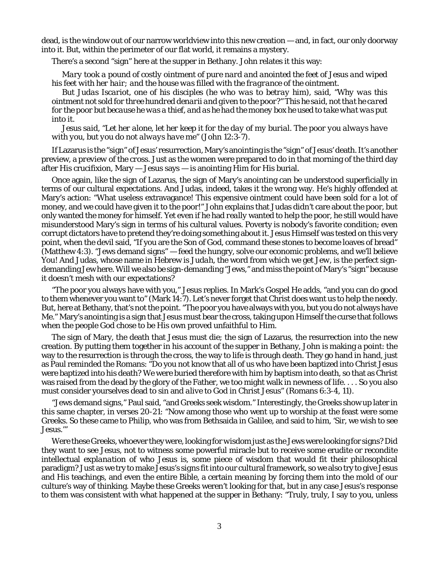dead, is the window out of our narrow worldview into this new creation — and, in fact, our only doorway into it. But, within the perimeter of our flat world, it remains a mystery.

There's a second "sign" here at the supper in Bethany. John relates it this way:

*Mary took a pound of costly ointment of pure nard and anointed the feet of Jesus and wiped his feet with her hair; and the house was filled with the fragrance of the ointment.*

*But Judas Iscariot, one of his disciples (he who was to betray him), said, "Why was this ointment not sold for three hundred denarii and given to the poor?" This he said, not that he cared for the poor but because he was a thief, and as he had the money box he used to take what was put into it.*

*Jesus said, "Let her alone, let her keep it for the day of my burial. The poor you always have with you, but you do not always have me"* (John 12:3-7).

If Lazarus is the "sign" of Jesus' resurrection, Mary's anointing is the "sign" of Jesus' death. It's another preview, a *preview of the cross.* Just as the women were prepared to do in that morning of the third day after His crucifixion, Mary — Jesus says — is anointing Him for His burial.

Once again, like the sign of Lazarus, the sign of Mary's anointing can be understood superficially in terms of our cultural expectations. And Judas, indeed, takes it the wrong way. He's highly offended at Mary's action: "What useless extravagance! This expensive ointment could have been sold for a lot of money, and we could have given it to the poor!" John explains that Judas didn't care about the poor, but only wanted the money for himself. Yet even if he had *really* wanted to help the poor, he still would have misunderstood Mary's sign in terms of his cultural values. Poverty is nobody's favorite condition; even corrupt dictators have to pretend they're doing something about it. Jesus Himself was tested on this very point, when the devil said, "If you are the Son of God, command these stones to become loaves of bread" (Matthew 4:3). "Jews demand signs" — feed the hungry, solve our economic problems, and we'll believe You! And Judas, whose name in Hebrew is *Judah*, the word from which we get *Jew*, is the perfect signdemanding Jew here. Will we also be sign-demanding "Jews," and miss the point of Mary's "sign" because it doesn't mesh with *our* expectations?

"The poor you always have with you," Jesus replies. In Mark's Gospel He adds, "and you can do good to them whenever you want to" (Mark 14:7). Let's never forget that Christ *does* want us to help the needy. But, here at Bethany, that's not the point. "The poor you have always with you, but you do not always have Me." Mary's anointing is a sign that Jesus must bear the cross, taking upon Himself the curse that follows when the people God chose to be His own proved unfaithful to Him.

The sign of Mary, the death that Jesus must die; the sign of Lazarus, the resurrection into the new creation. By putting them together in his account of the supper in Bethany, John is making a point: the way to the resurrection is *through the cross*, the way to life is through death. They go hand in hand, just as Paul reminded the Romans: "Do you not know that all of us who have been baptized into Christ Jesus were baptized into his death? We were buried therefore with him by baptism into death, so that as Christ was raised from the dead by the glory of the Father, we too might walk in newness of life. . . . So you also must consider yourselves dead to sin and *alive to God* in Christ Jesus" (Romans 6:3-4, 11).

"Jews demand signs," Paul said, "and Greeks seek wisdom." Interestingly, the Greeks show up later in this same chapter, in verses 20-21: "Now among those who went up to worship at the feast were some Greeks. So these came to Philip, who was from Bethsaida in Galilee, and said to him, 'Sir, we wish to see Jesus.'"

Were these Greeks, whoever they were, looking for *wisdom* just as the Jews were looking for signs? Did they want to see Jesus, not to witness some powerful miracle but to receive some erudite or recondite intellectual *explanation* of who Jesus is, some piece of wisdom that would fit their philosophical paradigm? Just as we try to make Jesus's *signs* fit into our cultural framework, so we also try to give Jesus and His teachings, and even the entire Bible, a certain *meaning* by forcing them into the mold of our culture's way of thinking. Maybe these Greeks weren't looking for that, but in any case Jesus's response to them was consistent with what happened at the supper in Bethany: "Truly, truly, I say to you, unless